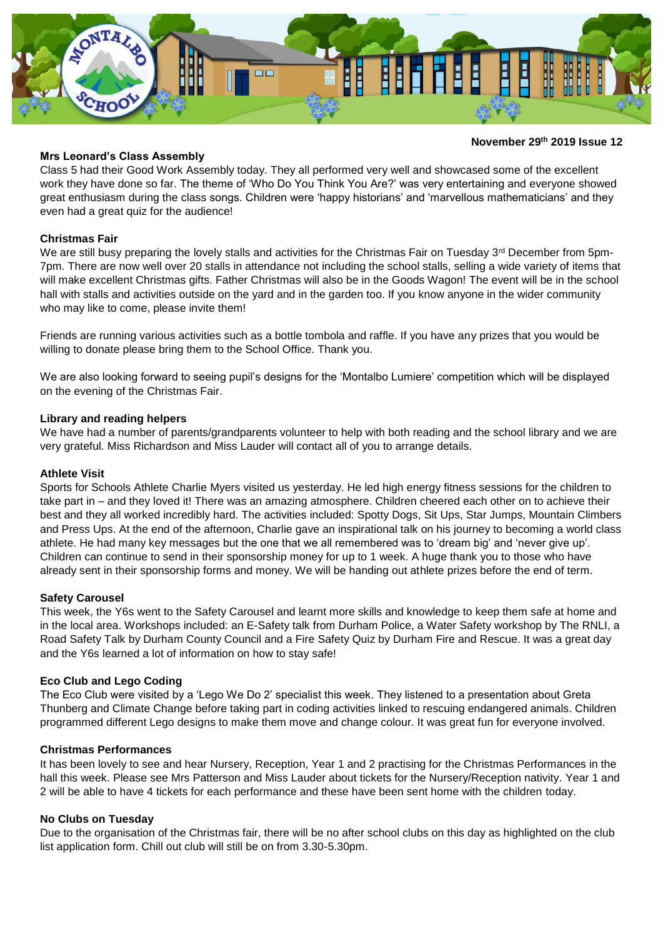

#### **November 29 th 2019 Issue 12**

#### **Mrs Leonard's Class Assembly**

Class 5 had their Good Work Assembly today. They all performed very well and showcased some of the excellent work they have done so far. The theme of 'Who Do You Think You Are?' was very entertaining and everyone showed great enthusiasm during the class songs. Children were 'happy historians' and 'marvellous mathematicians' and they even had a great quiz for the audience!

### **Christmas Fair**

We are still busy preparing the lovely stalls and activities for the Christmas Fair on Tuesday 3<sup>rd</sup> December from 5pm-7pm. There are now well over 20 stalls in attendance not including the school stalls, selling a wide variety of items that will make excellent Christmas gifts. Father Christmas will also be in the Goods Wagon! The event will be in the school hall with stalls and activities outside on the yard and in the garden too. If you know anyone in the wider community who may like to come, please invite them!

Friends are running various activities such as a bottle tombola and raffle. If you have any prizes that you would be willing to donate please bring them to the School Office. Thank you.

We are also looking forward to seeing pupil's designs for the 'Montalbo Lumiere' competition which will be displayed on the evening of the Christmas Fair.

#### **Library and reading helpers**

We have had a number of parents/grandparents volunteer to help with both reading and the school library and we are very grateful. Miss Richardson and Miss Lauder will contact all of you to arrange details.

#### **Athlete Visit**

Sports for Schools Athlete Charlie Myers visited us yesterday. He led high energy fitness sessions for the children to take part in – and they loved it! There was an amazing atmosphere. Children cheered each other on to achieve their best and they all worked incredibly hard. The activities included: Spotty Dogs, Sit Ups, Star Jumps, Mountain Climbers and Press Ups. At the end of the afternoon, Charlie gave an inspirational talk on his journey to becoming a world class athlete. He had many key messages but the one that we all remembered was to 'dream big' and 'never give up'. Children can continue to send in their sponsorship money for up to 1 week. A huge thank you to those who have already sent in their sponsorship forms and money. We will be handing out athlete prizes before the end of term.

### **Safety Carousel**

This week, the Y6s went to the Safety Carousel and learnt more skills and knowledge to keep them safe at home and in the local area. Workshops included: an E-Safety talk from Durham Police, a Water Safety workshop by The RNLI, a Road Safety Talk by Durham County Council and a Fire Safety Quiz by Durham Fire and Rescue. It was a great day and the Y6s learned a lot of information on how to stay safe!

### **Eco Club and Lego Coding**

The Eco Club were visited by a 'Lego We Do 2' specialist this week. They listened to a presentation about Greta Thunberg and Climate Change before taking part in coding activities linked to rescuing endangered animals. Children programmed different Lego designs to make them move and change colour. It was great fun for everyone involved.

#### **Christmas Performances**

It has been lovely to see and hear Nursery, Reception, Year 1 and 2 practising for the Christmas Performances in the hall this week. Please see Mrs Patterson and Miss Lauder about tickets for the Nursery/Reception nativity. Year 1 and 2 will be able to have 4 tickets for each performance and these have been sent home with the children today.

### **No Clubs on Tuesday**

Due to the organisation of the Christmas fair, there will be no after school clubs on this day as highlighted on the club list application form. Chill out club will still be on from 3.30-5.30pm.